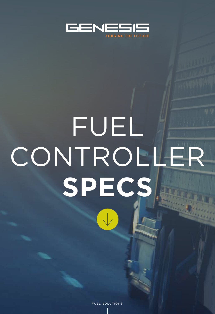

# FUEL CONTROLLER **SPECS**

FUEL SOLUTIONS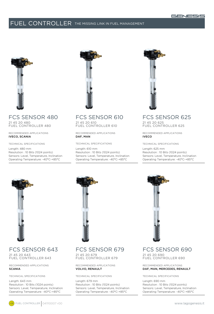# FUEL CONTROLLER The missing link in Fuel Management



## FCS SENSOR 480 21 45 20 480

FUEL CONTROLLER 480

Recommended Applications IVECO, SCANIA

Technical Specifications

Length: 480 mm

Resolution : 10 Bits (1024 points) Sensors: Level, Temperature, Inclination Operating Temperature: -40°C-+85°C



FCS SENSOR 610 21 45 20 610 FUEL CONTROLLER 610

Recommended Applications DAF, MAN

Technical Specifications

Length: 610 mm Resolution : 10 Bits (1024 points) Sensors: Level, Temperature, Inclination Operating Temperature: -40°C-+85°C



#### FCS SENSOR 625 21 45 20 625 FUEL CONTROLLER 625

Recommended Applications IVECO

Technical Specifications

Length: 625 mm Resolution : 10 Bits (1024 points) Sensors: Level, Temperature, Inclination Operating Temperature: -40°C-+85°C



FCS SENSOR 643 21 45 20 643

FUEL CONTROLLER 643

Recommended Applications **SCANIA** 

Technical Specifications

Length: 643 mm Resolution : 10 Bits (1024 points) Sensors: Level, Temperature, Inclination Operating Temperature: -40°C-+85°C



FCS SENSOR 679

21 45 20 679 FUEL CONTROLLER 679

Recommended Applications VOLVO, RENAULT

Technical Specifications

Length: 679 mm Resolution : 10 Bits (1024 points) Sensors: Level, Temperature, Inclination Operating Temperature: -40°C-+85°C



FCS SENSOR 690

21 45 20 690 FUEL CONTROLLER 690

Recommended Applications DAF, MAN, MERCEDES, RENAULT

Technical Specifications

Length: 690 mm Resolution : 10 Bits (1024 points) Sensors: Level, Temperature, Inclination Operating Temperature: -40°C-+85°C